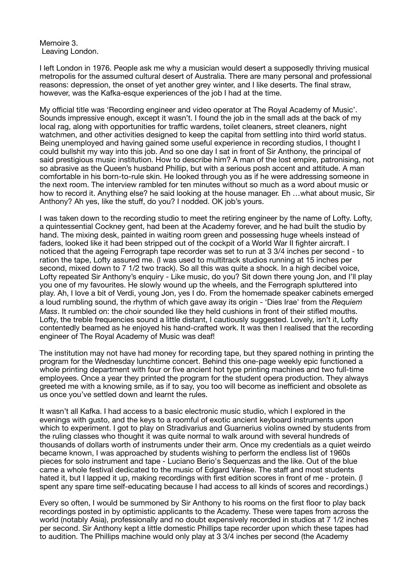Memoire 3. Leaving London.

I left London in 1976. People ask me why a musician would desert a supposedly thriving musical metropolis for the assumed cultural desert of Australia. There are many personal and professional reasons: depression, the onset of yet another grey winter, and I like deserts. The final straw, however, was the Kafka-esque experiences of the job I had at the time.

My official title was 'Recording engineer and video operator at The Royal Academy of Music'. Sounds impressive enough, except it wasn't. I found the job in the small ads at the back of my local rag, along with opportunities for traffic wardens, toilet cleaners, street cleaners, night watchmen, and other activities designed to keep the capital from settling into third world status. Being unemployed and having gained some useful experience in recording studios, I thought I could bullshit my way into this job. And so one day I sat in front of Sir Anthony, the principal of said prestigious music institution. How to describe him? A man of the lost empire, patronising, not so abrasive as the Queen's husband Phillip, but with a serious posh accent and attitude. A man comfortable in his born-to-rule skin. He looked through you as if he were addressing someone in the next room. The interview rambled for ten minutes without so much as a word about music or how to record it. Anything else? he said looking at the house manager. Eh …what about music, Sir Anthony? Ah yes, like the stuff, do you? I nodded. OK job's yours.

I was taken down to the recording studio to meet the retiring engineer by the name of Lofty. Lofty, a quintessential Cockney gent, had been at the Academy forever, and he had built the studio by hand. The mixing desk, painted in waiting room green and possessing huge wheels instead of faders, looked like it had been stripped out of the cockpit of a World War II fighter aircraft. I noticed that the ageing Ferrograph tape recorder was set to run at 3 3/4 inches per second - to ration the tape, Lofty assured me. (I was used to multitrack studios running at 15 inches per second, mixed down to 7 1/2 two track). So all this was quite a shock. In a high decibel voice, Lofty repeated Sir Anthony's enquiry - Like music, do you? Sit down there young Jon, and I'll play you one of my favourites. He slowly wound up the wheels, and the Ferrograph spluttered into play. Ah, I love a bit of Verdi, young Jon, yes I do. From the homemade speaker cabinets emerged a loud rumbling sound, the rhythm of which gave away its origin - 'Dies Irae' from the *Requiem Mass*. It rumbled on: the choir sounded like they held cushions in front of their stifled mouths. Lofty, the treble frequencies sound a little distant, I cautiously suggested. Lovely, isn't it, Lofty contentedly beamed as he enjoyed his hand-crafted work. It was then I realised that the recording engineer of The Royal Academy of Music was deaf!

The institution may not have had money for recording tape, but they spared nothing in printing the program for the Wednesday lunchtime concert. Behind this one-page weekly epic functioned a whole printing department with four or five ancient hot type printing machines and two full-time employees. Once a year they printed the program for the student opera production. They always greeted me with a knowing smile, as if to say, you too will become as inefficient and obsolete as us once you've settled down and learnt the rules.

It wasn't all Kafka. I had access to a basic electronic music studio, which I explored in the evenings with gusto, and the keys to a roomful of exotic ancient keyboard instruments upon which to experiment. I got to play on Stradivarius and Guarnerius violins owned by students from the ruling classes who thought it was quite normal to walk around with several hundreds of thousands of dollars worth of instruments under their arm. Once my credentials as a quiet weirdo became known, I was approached by students wishing to perform the endless list of 1960s pieces for solo instrument and tape - Luciano Berio's Sequenzas and the like. Out of the blue came a whole festival dedicated to the music of Edgard Varèse. The staff and most students hated it, but I lapped it up, making recordings with first edition scores in front of me - protein. (I spent any spare time self-educating because I had access to all kinds of scores and recordings.)

Every so often, I would be summoned by Sir Anthony to his rooms on the first floor to play back recordings posted in by optimistic applicants to the Academy. These were tapes from across the world (notably Asia), professionally and no doubt expensively recorded in studios at 7 1/2 inches per second. Sir Anthony kept a little domestic Phillips tape recorder upon which these tapes had to audition. The Phillips machine would only play at 3 3/4 inches per second (the Academy